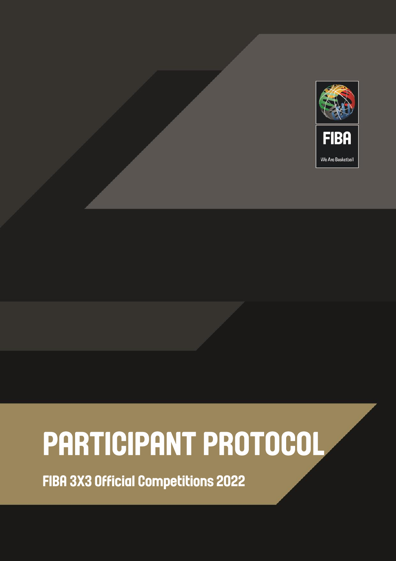

# PARTICIPANT PROTOCOL

**FIBA 3X3 Official Competitions 2022**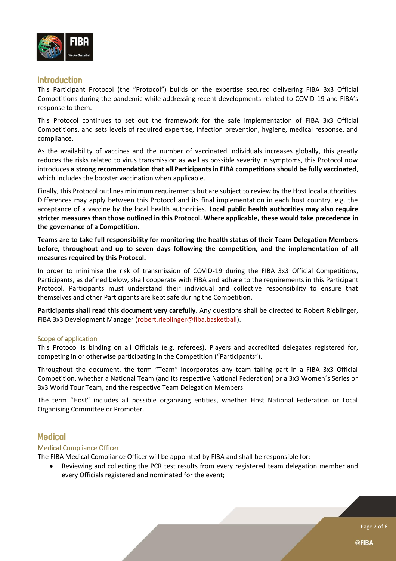

# **Introduction**

This Participant Protocol (the "Protocol") builds on the expertise secured delivering FIBA 3x3 Official Competitions during the pandemic while addressing recent developments related to COVID-19 and FIBA's response to them.

This Protocol continues to set out the framework for the safe implementation of FIBA 3x3 Official Competitions, and sets levels of required expertise, infection prevention, hygiene, medical response, and compliance.

As the availability of vaccines and the number of vaccinated individuals increases globally, this greatly reduces the risks related to virus transmission as well as possible severity in symptoms, this Protocol now introduces **a strong recommendation that all Participants in FIBA competitions should be fully vaccinated**, which includes the booster vaccination when applicable.

Finally, this Protocol outlines minimum requirements but are subject to review by the Host local authorities. Differences may apply between this Protocol and its final implementation in each host country, e.g. the acceptance of a vaccine by the local health authorities. **Local public health authorities may also require stricter measures than those outlined in this Protocol. Where applicable, these would take precedence in the governance of a Competition.**

**Teams are to take full responsibility for monitoring the health status of their Team Delegation Members before, throughout and up to seven days following the competition, and the implementation of all measures required by this Protocol.**

In order to minimise the risk of transmission of COVID-19 during the FIBA 3x3 Official Competitions, Participants, as defined below, shall cooperate with FIBA and adhere to the requirements in this Participant Protocol. Participants must understand their individual and collective responsibility to ensure that themselves and other Participants are kept safe during the Competition.

**Participants shall read this document very carefully**. Any questions shall be directed to Robert Rieblinger, FIBA 3x3 Development Manager [\(robert.rieblinger@fiba.basketball\)](mailto:robert.rieblinger@fiba.basketball).

## Scope of application

This Protocol is binding on all Officials (e.g. referees), Players and accredited delegates registered for, competing in or otherwise participating in the Competition ("Participants").

Throughout the document, the term "Team" incorporates any team taking part in a FIBA 3x3 Official Competition, whether a National Team (and its respective National Federation) or a 3x3 Women´s Series or 3x3 World Tour Team, and the respective Team Delegation Members.

The term "Host" includes all possible organising entities, whether Host National Federation or Local Organising Committee or Promoter.

# **Medical**

## Medical Compliance Officer

The FIBA Medical Compliance Officer will be appointed by FIBA and shall be responsible for:

• Reviewing and collecting the PCR test results from every registered team delegation member and every Officials registered and nominated for the event;

Page 2 of 6

@FIBA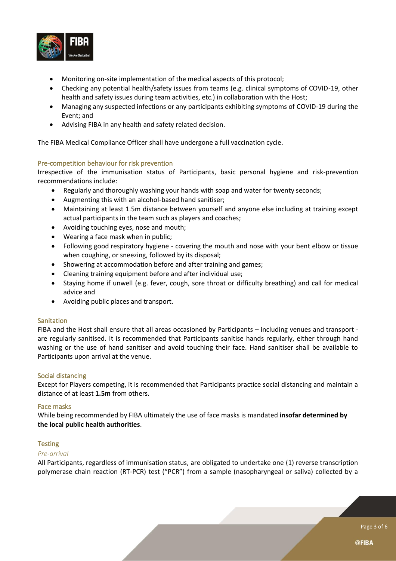

- Monitoring on-site implementation of the medical aspects of this protocol;
- Checking any potential health/safety issues from teams (e.g. clinical symptoms of COVID-19, other health and safety issues during team activities, etc.) in collaboration with the Host;
- Managing any suspected infections or any participants exhibiting symptoms of COVID-19 during the Event; and
- Advising FIBA in any health and safety related decision.

The FIBA Medical Compliance Officer shall have undergone a full vaccination cycle.

## Pre-competition behaviour for risk prevention

Irrespective of the immunisation status of Participants, basic personal hygiene and risk-prevention recommendations include:

- Regularly and thoroughly washing your hands with soap and water for twenty seconds;
- Augmenting this with an alcohol-based hand sanitiser;
- Maintaining at least 1.5m distance between yourself and anyone else including at training except actual participants in the team such as players and coaches;
- Avoiding touching eyes, nose and mouth;
- Wearing a face mask when in public;
- Following good respiratory hygiene covering the mouth and nose with your bent elbow or tissue when coughing, or sneezing, followed by its disposal;
- Showering at accommodation before and after training and games;
- Cleaning training equipment before and after individual use;
- Staying home if unwell (e.g. fever, cough, sore throat or difficulty breathing) and call for medical advice and
- Avoiding public places and transport.

## **Sanitation**

FIBA and the Host shall ensure that all areas occasioned by Participants – including venues and transport are regularly sanitised. It is recommended that Participants sanitise hands regularly, either through hand washing or the use of hand sanitiser and avoid touching their face. Hand sanitiser shall be available to Participants upon arrival at the venue.

## Social distancing

Except for Players competing, it is recommended that Participants practice social distancing and maintain a distance of at least **1.5m** from others.

#### Face masks

While being recommended by FIBA ultimately the use of face masks is mandated **insofar determined by the local public health authorities**.

#### **Testing**

## *Pre-arrival*

All Participants, regardless of immunisation status, are obligated to undertake one (1) reverse transcription polymerase chain reaction (RT-PCR) test ("PCR") from a sample (nasopharyngeal or saliva) collected by a

Page 3 of 6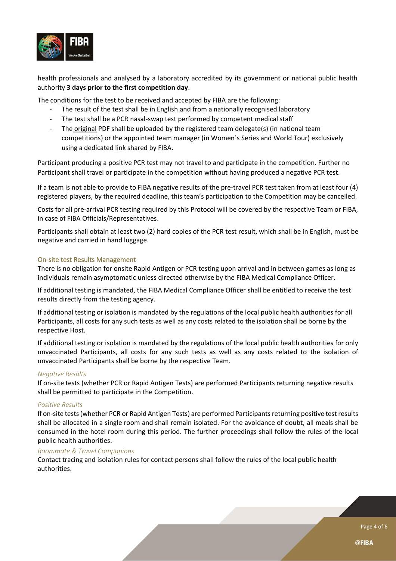

health professionals and analysed by a laboratory accredited by its government or national public health authority **3 days prior to the first competition day**.

The conditions for the test to be received and accepted by FIBA are the following:

- The result of the test shall be in English and from a nationally recognised laboratory
- The test shall be a PCR nasal-swap test performed by competent medical staff
- The original PDF shall be uploaded by the registered team delegate(s) (in national team competitions) or the appointed team manager (in Women´s Series and World Tour) exclusively using a dedicated link shared by FIBA.

Participant producing a positive PCR test may not travel to and participate in the competition. Further no Participant shall travel or participate in the competition without having produced a negative PCR test.

If a team is not able to provide to FIBA negative results of the pre-travel PCR test taken from at least four (4) registered players, by the required deadline, this team's participation to the Competition may be cancelled.

Costs for all pre-arrival PCR testing required by this Protocol will be covered by the respective Team or FIBA, in case of FIBA Officials/Representatives.

Participants shall obtain at least two (2) hard copies of the PCR test result, which shall be in English, must be negative and carried in hand luggage.

## On-site test Results Management

There is no obligation for onsite Rapid Antigen or PCR testing upon arrival and in between games as long as individuals remain asymptomatic unless directed otherwise by the FIBA Medical Compliance Officer.

If additional testing is mandated, the FIBA Medical Compliance Officer shall be entitled to receive the test results directly from the testing agency.

If additional testing or isolation is mandated by the regulations of the local public health authorities for all Participants, all costs for any such tests as well as any costs related to the isolation shall be borne by the respective Host.

If additional testing or isolation is mandated by the regulations of the local public health authorities for only unvaccinated Participants, all costs for any such tests as well as any costs related to the isolation of unvaccinated Participants shall be borne by the respective Team.

#### *Negative Results*

If on-site tests (whether PCR or Rapid Antigen Tests) are performed Participants returning negative results shall be permitted to participate in the Competition.

#### *Positive Results*

If on-site tests (whether PCR or Rapid Antigen Tests) are performed Participants returning positive test results shall be allocated in a single room and shall remain isolated. For the avoidance of doubt, all meals shall be consumed in the hotel room during this period. The further proceedings shall follow the rules of the local public health authorities.

#### *Roommate & Travel Companions*

Contact tracing and isolation rules for contact persons shall follow the rules of the local public health authorities.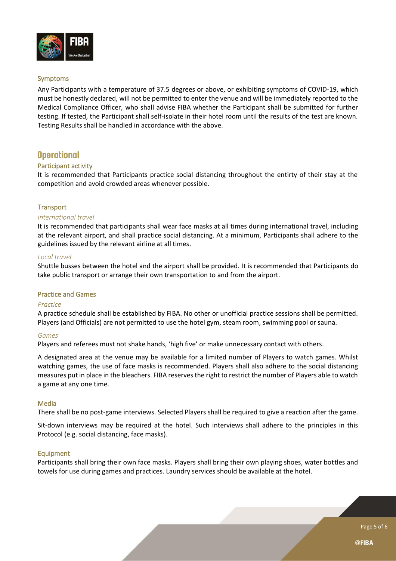

## Symptoms

Any Participants with a temperature of 37.5 degrees or above, or exhibiting symptoms of COVID-19, which must be honestly declared, will not be permitted to enter the venue and will be immediately reported to the Medical Compliance Officer, who shall advise FIBA whether the Participant shall be submitted for further testing. If tested, the Participant shall self-isolate in their hotel room until the results of the test are known. Testing Results shall be handled in accordance with the above.

# **Operational**

## Participant activity

It is recommended that Participants practice social distancing throughout the entirty of their stay at the competition and avoid crowded areas whenever possible.

## **Transport**

#### *International travel*

It is recommended that participants shall wear face masks at all times during international travel, including at the relevant airport, and shall practice social distancing. At a minimum, Participants shall adhere to the guidelines issued by the relevant airline at all times.

#### *Local travel*

Shuttle busses between the hotel and the airport shall be provided. It is recommended that Participants do take public transport or arrange their own transportation to and from the airport.

#### Practice and Games

## *Practice*

A practice schedule shall be established by FIBA. No other or unofficial practice sessions shall be permitted. Players (and Officials) are not permitted to use the hotel gym, steam room, swimming pool or sauna.

## *Games*

Players and referees must not shake hands, 'high five' or make unnecessary contact with others.

A designated area at the venue may be available for a limited number of Players to watch games. Whilst watching games, the use of face masks is recommended. Players shall also adhere to the social distancing measures put in place in the bleachers. FIBA reserves the right to restrict the number of Players able to watch a game at any one time.

## Media

There shall be no post-game interviews. Selected Players shall be required to give a reaction after the game.

Sit-down interviews may be required at the hotel. Such interviews shall adhere to the principles in this Protocol (e.g. social distancing, face masks).

#### Equipment

Participants shall bring their own face masks. Players shall bring their own playing shoes, water bottles and towels for use during games and practices. Laundry services should be available at the hotel.